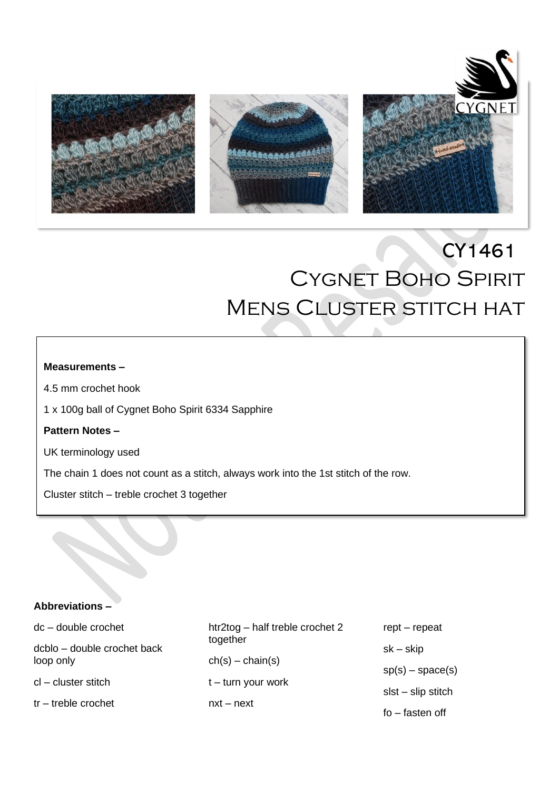

# CY1461 CYGNET BOHO SPIRIT **MENS CLUSTER STITCH HAT**

I

I

I

I

I

I

#### **Measurements –**

4.5 mm crochet hook

1 x 100g ball of Cygnet Boho Spirit 6334 Sapphire

### **Pattern Notes –**

UK terminology used

The chain 1 does not count as a stitch, always work into the 1st stitch of the row.

Cluster stitch – treble crochet 3 together

#### **Abbreviations –**

| $dc - double crochet$       | htr2tog – half treble crochet 2<br>together | $rept-repeat$        |
|-----------------------------|---------------------------------------------|----------------------|
| dcblo – double crochet back |                                             | $sk - skip$          |
| loop only                   | $ch(s) - chain(s)$                          | $sp(s)$ – space(s)   |
| cl - cluster stitch         | $t - turn$ your work                        |                      |
| $tr - treble$ crochet       | $nxt - next$                                | $slst - slip$ stitch |
|                             |                                             | fo – fasten off      |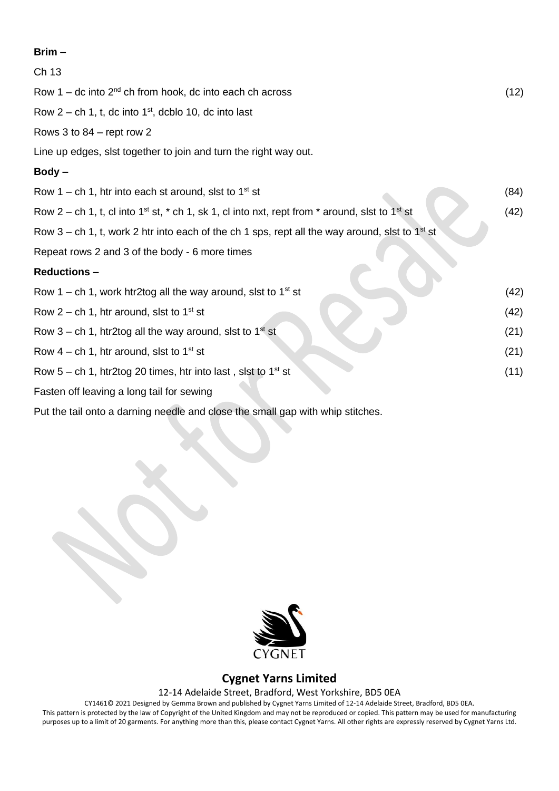#### **Brim –**

| Ch 13                                                                                                                      |      |
|----------------------------------------------------------------------------------------------------------------------------|------|
| Row 1 – dc into $2^{nd}$ ch from hook, dc into each ch across                                                              |      |
| Row $2$ – ch 1, t, dc into 1 <sup>st</sup> , dcblo 10, dc into last                                                        |      |
| Rows 3 to $84$ – rept row 2                                                                                                |      |
| Line up edges, slst together to join and turn the right way out.                                                           |      |
| $Body -$                                                                                                                   |      |
| Row 1 – ch 1, htr into each st around, slst to $1st$ st                                                                    | (84) |
| Row 2 – ch 1, t, cl into 1 <sup>st</sup> st, $*$ ch 1, sk 1, cl into nxt, rept from $*$ around, slst to 1 <sup>st</sup> st |      |
| Row 3 – ch 1, t, work 2 htr into each of the ch 1 sps, rept all the way around, slst to 1 <sup>st</sup> st                 |      |
| Repeat rows 2 and 3 of the body - 6 more times                                                                             |      |
| <b>Reductions-</b>                                                                                                         |      |
| Row 1 – ch 1, work htr2tog all the way around, slst to 1 <sup>st</sup> st                                                  | (42) |
| Row 2 – ch 1, htr around, slst to 1 <sup>st</sup> st                                                                       | (42) |
| Row 3 – ch 1, htr2tog all the way around, slst to 1 <sup>st</sup> st                                                       | (21) |
| Row $4$ – ch 1, htr around, slst to 1 <sup>st</sup> st                                                                     | (21) |
| Row 5 – ch 1, htr2tog 20 times, htr into last, slst to 1 <sup>st</sup> st                                                  | (11) |
| Fasten off leaving a long tail for sewing                                                                                  |      |

Put the tail onto a darning needle and close the small gap with whip stitches.



## **Cygnet Yarns Limited**

#### 12-14 Adelaide Street, Bradford, West Yorkshire, BD5 0EA

CY1461© 2021 Designed by Gemma Brown and published by Cygnet Yarns Limited of 12-14 Adelaide Street, Bradford, BD5 0EA. This pattern is protected by the law of Copyright of the United Kingdom and may not be reproduced or copied. This pattern may be used for manufacturing

purposes up to a limit of 20 garments. For anything more than this, please contact Cygnet Yarns. All other rights are expressly reserved by Cygnet Yarns Ltd.